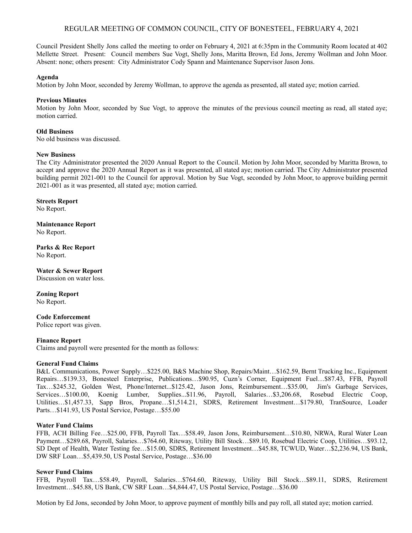# REGULAR MEETING OF COMMON COUNCIL, CITY OF BONESTEEL, FEBRUARY 4, 2021

Council President Shelly Jons called the meeting to order on February 4, 2021 at 6:35pm in the Community Room located at 402 Mellette Street. Present: Council members Sue Vogt, Shelly Jons, Maritta Brown, Ed Jons, Jeremy Wollman and John Moor. Absent: none; others present: City Administrator Cody Spann and Maintenance Supervisor Jason Jons.

## **Agenda**

Motion by John Moor, seconded by Jeremy Wollman, to approve the agenda as presented, all stated aye; motion carried.

## **Previous Minutes**

Motion by John Moor, seconded by Sue Vogt, to approve the minutes of the previous council meeting as read, all stated aye; motion carried.

## **Old Business**

No old business was discussed.

#### **New Business**

The City Administrator presented the 2020 Annual Report to the Council. Motion by John Moor, seconded by Maritta Brown, to accept and approve the 2020 Annual Report as it was presented, all stated aye; motion carried. The City Administrator presented building permit 2021-001 to the Council for approval. Motion by Sue Vogt, seconded by John Moor, to approve building permit 2021-001 as it was presented, all stated aye; motion carried.

# **Streets Report**

No Report.

**Maintenance Report** No Report.

**Parks & Rec Report** No Report.

**Water & Sewer Report** Discussion on water loss.

**Zoning Report** No Report.

**Code Enforcement** Police report was given.

#### **Finance Report**

Claims and payroll were presented for the month as follows:

#### **General Fund Claims**

B&L Communications, Power Supply…\$225.00, B&S Machine Shop, Repairs/Maint…\$162.59, Bernt Trucking Inc., Equipment Repairs…\$139.33, Bonesteel Enterprise, Publications…\$90.95, Cuzn's Corner, Equipment Fuel…\$87.43, FFB, Payroll Tax…\$245.32, Golden West, Phone/Internet...\$125.42, Jason Jons, Reimbursement…\$35.00, Jim's Garbage Services, Services…\$100.00, Koenig Lumber, Supplies...\$11.96, Payroll, Salaries…\$3,206.68, Rosebud Electric Coop, Utilities…\$1,457.33, Sapp Bros, Propane…\$1,514.21, SDRS, Retirement Investment…\$179.80, TranSource, Loader Parts…\$141.93, US Postal Service, Postage…\$55.00

## **Water Fund Claims**

FFB, ACH Billing Fee…\$25.00, FFB, Payroll Tax…\$58.49, Jason Jons, Reimbursement…\$10.80, NRWA, Rural Water Loan Payment…\$289.68, Payroll, Salaries…\$764.60, Riteway, Utility Bill Stock…\$89.10, Rosebud Electric Coop, Utilities…\$93.12, SD Dept of Health, Water Testing fee…\$15.00, SDRS, Retirement Investment…\$45.88, TCWUD, Water…\$2,236.94, US Bank, DW SRF Loan…\$5,439.50, US Postal Service, Postage…\$36.00

#### **Sewer Fund Claims**

FFB, Payroll Tax…\$58.49, Payroll, Salaries…\$764.60, Riteway, Utility Bill Stock…\$89.11, SDRS, Retirement Investment…\$45.88, US Bank, CW SRF Loan…\$4,844.47, US Postal Service, Postage…\$36.00

Motion by Ed Jons, seconded by John Moor, to approve payment of monthly bills and pay roll, all stated aye; motion carried.